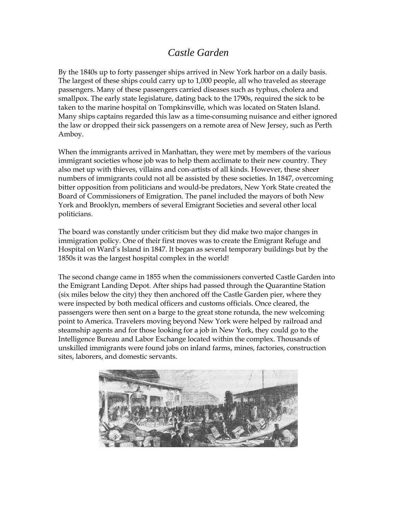## *Castle Garden*

By the 1840s up to forty passenger ships arrived in New York harbor on a daily basis. The largest of these ships could carry up to 1,000 people, all who traveled as steerage passengers. Many of these passengers carried diseases such as typhus, cholera and smallpox. The early state legislature, dating back to the 1790s, required the sick to be taken to the marine hospital on Tompkinsville, which was located on Staten Island. Many ships captains regarded this law as a time-consuming nuisance and either ignored the law or dropped their sick passengers on a remote area of New Jersey, such as Perth Amboy.

When the immigrants arrived in Manhattan, they were met by members of the various immigrant societies whose job was to help them acclimate to their new country. They also met up with thieves, villains and con-artists of all kinds. However, these sheer numbers of immigrants could not all be assisted by these societies. In 1847, overcoming bitter opposition from politicians and would-be predators, New York State created the Board of Commissioners of Emigration. The panel included the mayors of both New York and Brooklyn, members of several Emigrant Societies and several other local politicians.

The board was constantly under criticism but they did make two major changes in immigration policy. One of their first moves was to create the Emigrant Refuge and Hospital on Ward's Island in 1847. It began as several temporary buildings but by the 1850s it was the largest hospital complex in the world!

The second change came in 1855 when the commissioners converted Castle Garden into the Emigrant Landing Depot. After ships had passed through the Quarantine Station (six miles below the city) they then anchored off the Castle Garden pier, where they were inspected by both medical officers and customs officials. Once cleared, the passengers were then sent on a barge to the great stone rotunda, the new welcoming point to America. Travelers moving beyond New York were helped by railroad and steamship agents and for those looking for a job in New York, they could go to the Intelligence Bureau and Labor Exchange located within the complex. Thousands of unskilled immigrants were found jobs on inland farms, mines, factories, construction sites, laborers, and domestic servants.

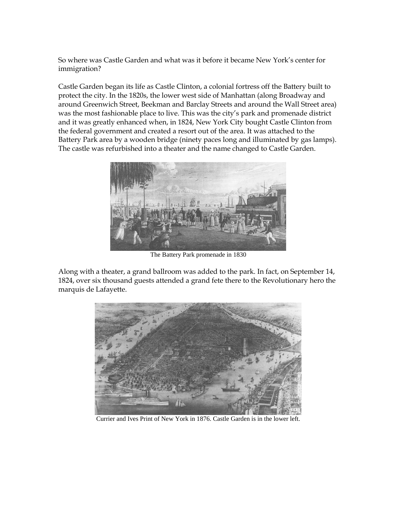So where was Castle Garden and what was it before it became New York's center for immigration?

Castle Garden began its life as Castle Clinton, a colonial fortress off the Battery built to protect the city. In the 1820s, the lower west side of Manhattan (along Broadway and around Greenwich Street, Beekman and Barclay Streets and around the Wall Street area) was the most fashionable place to live. This was the city's park and promenade district and it was greatly enhanced when, in 1824, New York City bought Castle Clinton from the federal government and created a resort out of the area. It was attached to the Battery Park area by a wooden bridge (ninety paces long and illuminated by gas lamps). The castle was refurbished into a theater and the name changed to Castle Garden.



The Battery Park promenade in 1830

Along with a theater, a grand ballroom was added to the park. In fact, on September 14, 1824, over six thousand guests attended a grand fete there to the Revolutionary hero the marquis de Lafayette.



Currier and Ives Print of New York in 1876. Castle Garden is in the lower left.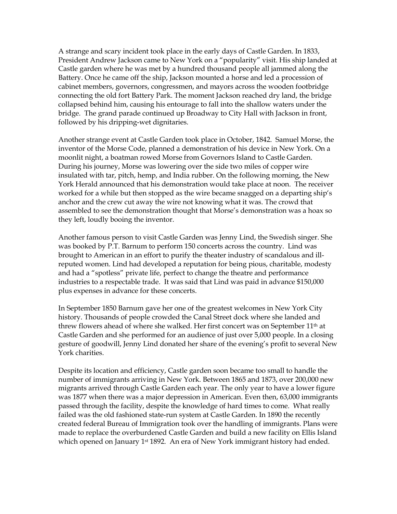A strange and scary incident took place in the early days of Castle Garden. In 1833, President Andrew Jackson came to New York on a "popularity" visit. His ship landed at Castle garden where he was met by a hundred thousand people all jammed along the Battery. Once he came off the ship, Jackson mounted a horse and led a procession of cabinet members, governors, congressmen, and mayors across the wooden footbridge connecting the old fort Battery Park. The moment Jackson reached dry land, the bridge collapsed behind him, causing his entourage to fall into the shallow waters under the bridge. The grand parade continued up Broadway to City Hall with Jackson in front, followed by his dripping-wet dignitaries.

Another strange event at Castle Garden took place in October, 1842. Samuel Morse, the inventor of the Morse Code, planned a demonstration of his device in New York. On a moonlit night, a boatman rowed Morse from Governors Island to Castle Garden. During his journey, Morse was lowering over the side two miles of copper wire insulated with tar, pitch, hemp, and India rubber. On the following morning, the New York Herald announced that his demonstration would take place at noon. The receiver worked for a while but then stopped as the wire became snagged on a departing ship's anchor and the crew cut away the wire not knowing what it was. The crowd that assembled to see the demonstration thought that Morse's demonstration was a hoax so they left, loudly booing the inventor.

Another famous person to visit Castle Garden was Jenny Lind, the Swedish singer. She was booked by P.T. Barnum to perform 150 concerts across the country. Lind was brought to American in an effort to purify the theater industry of scandalous and illreputed women. Lind had developed a reputation for being pious, charitable, modesty and had a "spotless" private life, perfect to change the theatre and performance industries to a respectable trade. It was said that Lind was paid in advance \$150,000 plus expenses in advance for these concerts.

In September 1850 Barnum gave her one of the greatest welcomes in New York City history. Thousands of people crowded the Canal Street dock where she landed and threw flowers ahead of where she walked. Her first concert was on September 11th at Castle Garden and she performed for an audience of just over 5,000 people. In a closing gesture of goodwill, Jenny Lind donated her share of the evening's profit to several New York charities.

Despite its location and efficiency, Castle garden soon became too small to handle the number of immigrants arriving in New York. Between 1865 and 1873, over 200,000 new migrants arrived through Castle Garden each year. The only year to have a lower figure was 1877 when there was a major depression in American. Even then, 63,000 immigrants passed through the facility, despite the knowledge of hard times to come. What really failed was the old fashioned state-run system at Castle Garden. In 1890 the recently created federal Bureau of Immigration took over the handling of immigrants. Plans were made to replace the overburdened Castle Garden and build a new facility on Ellis Island which opened on January 1<sup>st</sup> 1892. An era of New York immigrant history had ended.